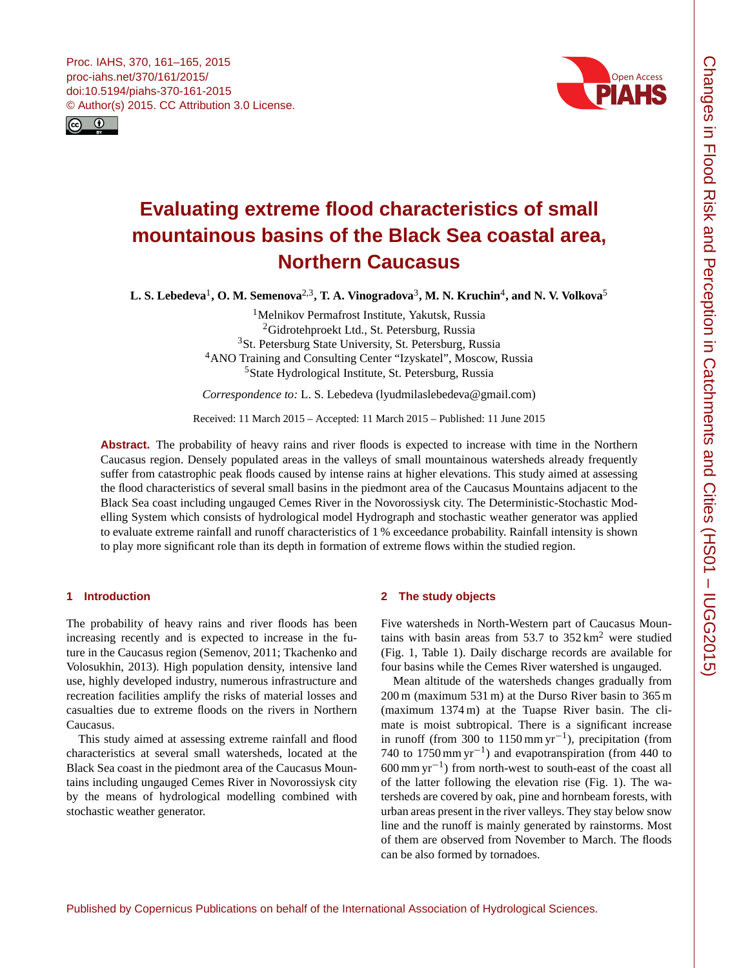<span id="page-0-1"></span>



# **Evaluating extreme flood characteristics of small mountainous basins of the Black Sea coastal area, Northern Caucasus**

 ${\bf L.S.}$  Lebedeva<sup>[1](#page-0-0)</sup>,  ${\bf O.}$  M. Semenova<sup>[2,3](#page-0-0)</sup>, T. A. Vinogradova<sup>[3](#page-0-0)</sup>, M. N. Kruchin<sup>[4](#page-0-0)</sup>, and N. V. Volkova<sup>[5](#page-0-0)</sup>

<sup>1</sup>Melnikov Permafrost Institute, Yakutsk, Russia <sup>2</sup>Gidrotehproekt Ltd., St. Petersburg, Russia <sup>3</sup>St. Petersburg State University, St. Petersburg, Russia <sup>4</sup>ANO Training and Consulting Center "Izyskatel", Moscow, Russia <sup>5</sup>State Hydrological Institute, St. Petersburg, Russia

*Correspondence to:* L. S. Lebedeva (lyudmilaslebedeva@gmail.com)

Received: 11 March 2015 – Accepted: 11 March 2015 – Published: 11 June 2015

**Abstract.** The probability of heavy rains and river floods is expected to increase with time in the Northern Caucasus region. Densely populated areas in the valleys of small mountainous watersheds already frequently suffer from catastrophic peak floods caused by intense rains at higher elevations. This study aimed at assessing the flood characteristics of several small basins in the piedmont area of the Caucasus Mountains adjacent to the Black Sea coast including ungauged Cemes River in the Novorossiysk city. The Deterministic-Stochastic Modelling System which consists of hydrological model Hydrograph and stochastic weather generator was applied to evaluate extreme rainfall and runoff characteristics of 1 % exceedance probability. Rainfall intensity is shown to play more significant role than its depth in formation of extreme flows within the studied region.

# <span id="page-0-0"></span>**1 Introduction**

The probability of heavy rains and river floods has been increasing recently and is expected to increase in the future in the Caucasus region (Semenov, 2011; Tkachenko and Volosukhin, 2013). High population density, intensive land use, highly developed industry, numerous infrastructure and recreation facilities amplify the risks of material losses and casualties due to extreme floods on the rivers in Northern Caucasus.

This study aimed at assessing extreme rainfall and flood characteristics at several small watersheds, located at the Black Sea coast in the piedmont area of the Caucasus Mountains including ungauged Cemes River in Novorossiysk city by the means of hydrological modelling combined with stochastic weather generator.

# **2 The study objects**

Five watersheds in North-Western part of Caucasus Mountains with basin areas from  $53.7$  to  $352 \text{ km}^2$  were studied (Fig. 1, Table 1). Daily discharge records are available for four basins while the Cemes River watershed is ungauged.

Mean altitude of the watersheds changes gradually from 200 m (maximum 531 m) at the Durso River basin to 365 m (maximum 1374 m) at the Tuapse River basin. The climate is moist subtropical. There is a significant increase in runoff (from 300 to 1150 mm yr−<sup>1</sup> ), precipitation (from 740 to 1750 mm yr−<sup>1</sup> ) and evapotranspiration (from 440 to 600 mm yr−<sup>1</sup> ) from north-west to south-east of the coast all of the latter following the elevation rise (Fig. 1). The watersheds are covered by oak, pine and hornbeam forests, with urban areas present in the river valleys. They stay below snow line and the runoff is mainly generated by rainstorms. Most of them are observed from November to March. The floods can be also formed by tornadoes.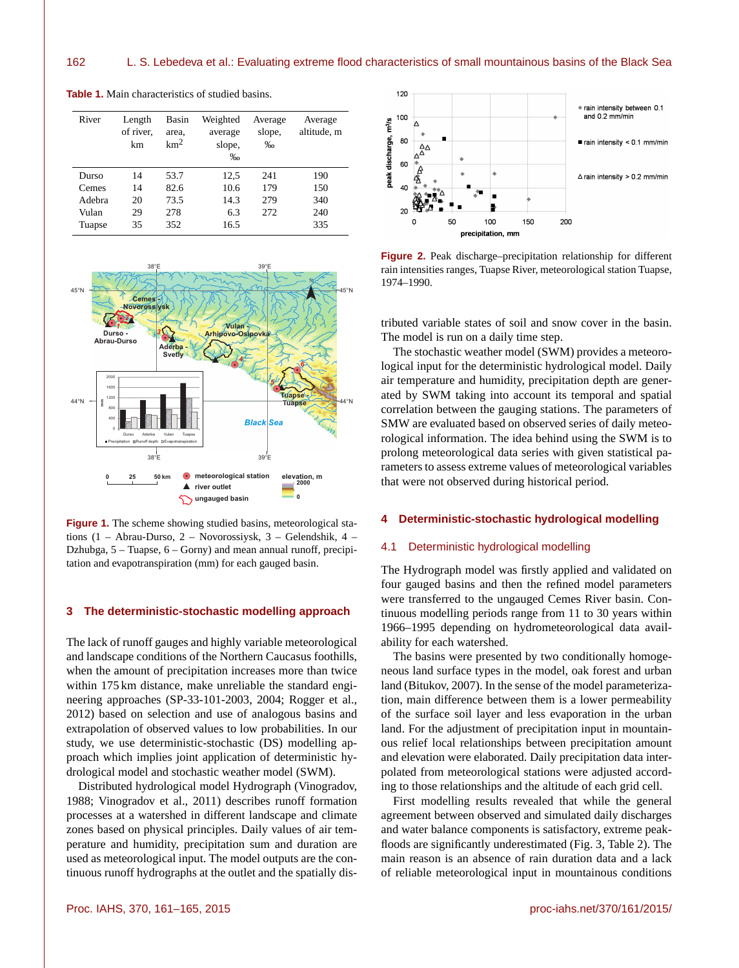| River  | Length<br>of river.<br>km | Basin<br>area,<br>km <sup>2</sup> | Weighted<br>average<br>slope,<br>$\%$ | Average<br>slope,<br>$\%$ | Average<br>altitude, m |
|--------|---------------------------|-----------------------------------|---------------------------------------|---------------------------|------------------------|
| Durso  | 14                        | 53.7                              | 12,5                                  | 241                       | 190                    |
| Cemes  | 14                        | 82.6                              | 10.6                                  | 179                       | 150                    |
| Adebra | 20                        | 73.5                              | 14.3                                  | 279                       | 340                    |
| Vulan  | 29                        | 278                               | 6.3                                   | 272                       | 240                    |
| Tuapse | 35                        | 352                               | 16.5                                  |                           | 335                    |

**Table 1.** Main characteristics of studied basins.



**Figure 1.** The scheme showing studied basins, meteorological stations (1 – Abrau-Durso, 2 – Novorossiysk, 3 – Gelendshik, 4 – Dzhubga, 5 – Tuapse, 6 – Gorny) and mean annual runoff, precipitation and evapotranspiration (mm) for each gauged basin.

# **3 The deterministic-stochastic modelling approach**

The lack of runoff gauges and highly variable meteorological and landscape conditions of the Northern Caucasus foothills, when the amount of precipitation increases more than twice within 175 km distance, make unreliable the standard engineering approaches (SP-33-101-2003, 2004; Rogger et al., 2012) based on selection and use of analogous basins and extrapolation of observed values to low probabilities. In our study, we use deterministic-stochastic (DS) modelling approach which implies joint application of deterministic hydrological model and stochastic weather model (SWM).

Distributed hydrological model Hydrograph (Vinogradov, 1988; Vinogradov et al., 2011) describes runoff formation processes at a watershed in different landscape and climate zones based on physical principles. Daily values of air temperature and humidity, precipitation sum and duration are used as meteorological input. The model outputs are the continuous runoff hydrographs at the outlet and the spatially dis-



**Figure 2.** Peak discharge–precipitation relationship for different rain intensities ranges, Tuapse River, meteorological station Tuapse, 1974–1990.

tributed variable states of soil and snow cover in the basin. The model is run on a daily time step.

The stochastic weather model (SWM) provides a meteorological input for the deterministic hydrological model. Daily air temperature and humidity, precipitation depth are generated by SWM taking into account its temporal and spatial correlation between the gauging stations. The parameters of SMW are evaluated based on observed series of daily meteorological information. The idea behind using the SWM is to prolong meteorological data series with given statistical parameters to assess extreme values of meteorological variables that were not observed during historical period.

## **4 Deterministic-stochastic hydrological modelling**

#### 4.1 Deterministic hydrological modelling

The Hydrograph model was firstly applied and validated on four gauged basins and then the refined model parameters were transferred to the ungauged Cemes River basin. Continuous modelling periods range from 11 to 30 years within 1966–1995 depending on hydrometeorological data availability for each watershed.

The basins were presented by two conditionally homogeneous land surface types in the model, oak forest and urban land (Bitukov, 2007). In the sense of the model parameterization, main difference between them is a lower permeability of the surface soil layer and less evaporation in the urban land. For the adjustment of precipitation input in mountainous relief local relationships between precipitation amount and elevation were elaborated. Daily precipitation data interpolated from meteorological stations were adjusted according to those relationships and the altitude of each grid cell.

First modelling results revealed that while the general agreement between observed and simulated daily discharges and water balance components is satisfactory, extreme peakfloods are significantly underestimated (Fig. 3, Table 2). The main reason is an absence of rain duration data and a lack of reliable meteorological input in mountainous conditions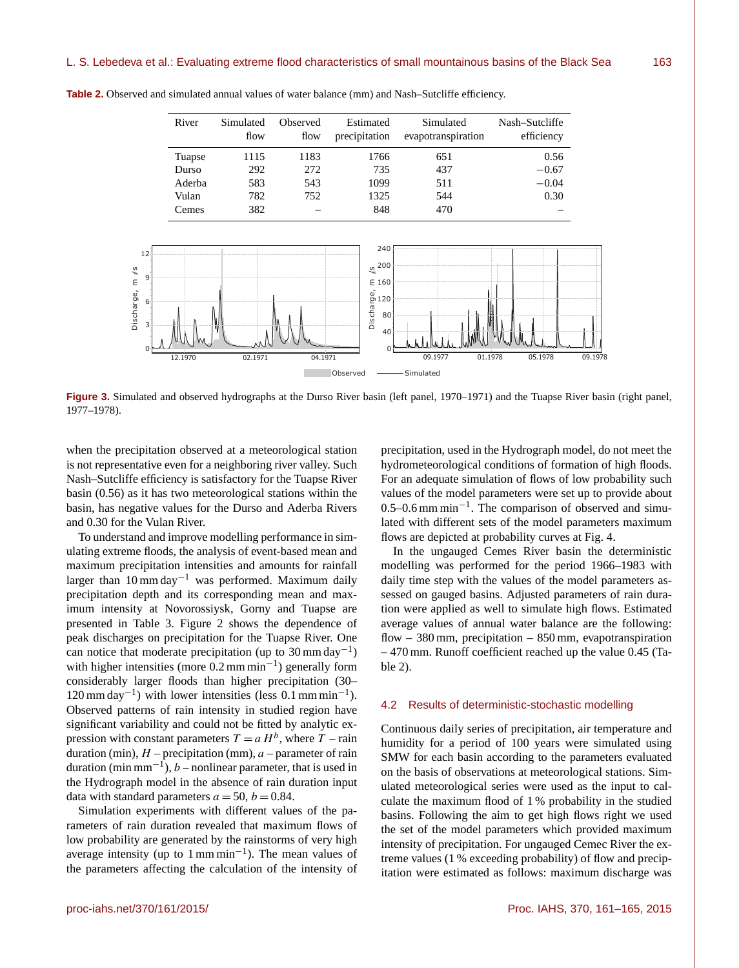|                     | River  | Simulated<br>flow | Observed<br>flow | Estimated<br>precipitation                      | Simulated<br>evapotranspiration | Nash-Sutcliffe<br>efficiency |
|---------------------|--------|-------------------|------------------|-------------------------------------------------|---------------------------------|------------------------------|
|                     | Tuapse | 1115              | 1183             | 1766                                            | 651                             | 0.56                         |
|                     | Durso  | 292               | 272              | 735                                             | 437                             | $-0.67$                      |
|                     | Aderba | 583               | 543              | 1099                                            | 511                             | $-0.04$                      |
|                     | Vulan  | 782               | 752              | 1325                                            | 544                             | 0.30                         |
|                     | Cemes  | 382               |                  | 848                                             | 470                             |                              |
| 12                  |        |                   |                  | 240                                             |                                 |                              |
|                     |        |                   |                  | $\frac{5}{20}$ 200 j                            |                                 |                              |
| 9                   |        |                   |                  | E 160                                           |                                 |                              |
| 6<br>3 <sup>°</sup> |        |                   |                  | $\overline{5}$ 120<br>Discha<br>80 <sup>°</sup> |                                 |                              |

**Table 2.** Observed and simulated annual values of water balance (mm) and Nash–Sutcliffe efficiency.

02.1971 04.1971

**Figure 3.** Simulated and observed hydrographs at the Durso River basin (left panel, 1970–1971) and the Tuapse River basin (right panel, 1977–1978).

Observed - Simulated

 $40<sub>1</sub>$ 0ŗ

when the precipitation observed at a meteorological station is not representative even for a neighboring river valley. Such Nash–Sutcliffe efficiency is satisfactory for the Tuapse River basin (0.56) as it has two meteorological stations within the basin, has negative values for the Durso and Aderba Rivers and 0.30 for the Vulan River.

s/

31 0 t

To understand and improve modelling performance in simulating extreme floods, the analysis of event-based mean and maximum precipitation intensities and amounts for rainfall larger than  $10 \text{ mm day}^{-1}$  was performed. Maximum daily precipitation depth and its corresponding mean and maximum intensity at Novorossiysk, Gorny and Tuapse are presented in Table 3. Figure 2 shows the dependence of peak discharges on precipitation for the Tuapse River. One can notice that moderate precipitation (up to  $30 \text{ mm day}^{-1}$ ) with higher intensities (more 0.2 mm min−<sup>1</sup> ) generally form considerably larger floods than higher precipitation (30– 120 mm day<sup>-1</sup>) with lower intensities (less 0.1 mm min<sup>-1</sup>). Observed patterns of rain intensity in studied region have significant variability and could not be fitted by analytic expression with constant parameters  $T = a H^b$ , where  $T -$ rain duration (min),  $H$  – precipitation (mm),  $a$  – parameter of rain duration (min mm<sup>-1</sup>), *b* – nonlinear parameter, that is used in the Hydrograph model in the absence of rain duration input data with standard parameters  $a = 50$ ,  $b = 0.84$ .

Simulation experiments with different values of the parameters of rain duration revealed that maximum flows of low probability are generated by the rainstorms of very high average intensity (up to 1 mm min−<sup>1</sup> ). The mean values of the parameters affecting the calculation of the intensity of

precipitation, used in the Hydrograph model, do not meet the hydrometeorological conditions of formation of high floods. For an adequate simulation of flows of low probability such values of the model parameters were set up to provide about 0.5–0.6 mm min−<sup>1</sup> . The comparison of observed and simulated with different sets of the model parameters maximum flows are depicted at probability curves at Fig. 4.

09.1977 01.1978 05.1978 09.1978

In the ungauged Cemes River basin the deterministic modelling was performed for the period 1966–1983 with daily time step with the values of the model parameters assessed on gauged basins. Adjusted parameters of rain duration were applied as well to simulate high flows. Estimated average values of annual water balance are the following: flow  $-380$  mm, precipitation  $-850$  mm, evapotranspiration – 470 mm. Runoff coefficient reached up the value 0.45 (Table 2).

#### 4.2 Results of deterministic-stochastic modelling

Continuous daily series of precipitation, air temperature and humidity for a period of 100 years were simulated using SMW for each basin according to the parameters evaluated on the basis of observations at meteorological stations. Simulated meteorological series were used as the input to calculate the maximum flood of 1 % probability in the studied basins. Following the aim to get high flows right we used the set of the model parameters which provided maximum intensity of precipitation. For ungauged Cemec River the extreme values (1 % exceeding probability) of flow and precipitation were estimated as follows: maximum discharge was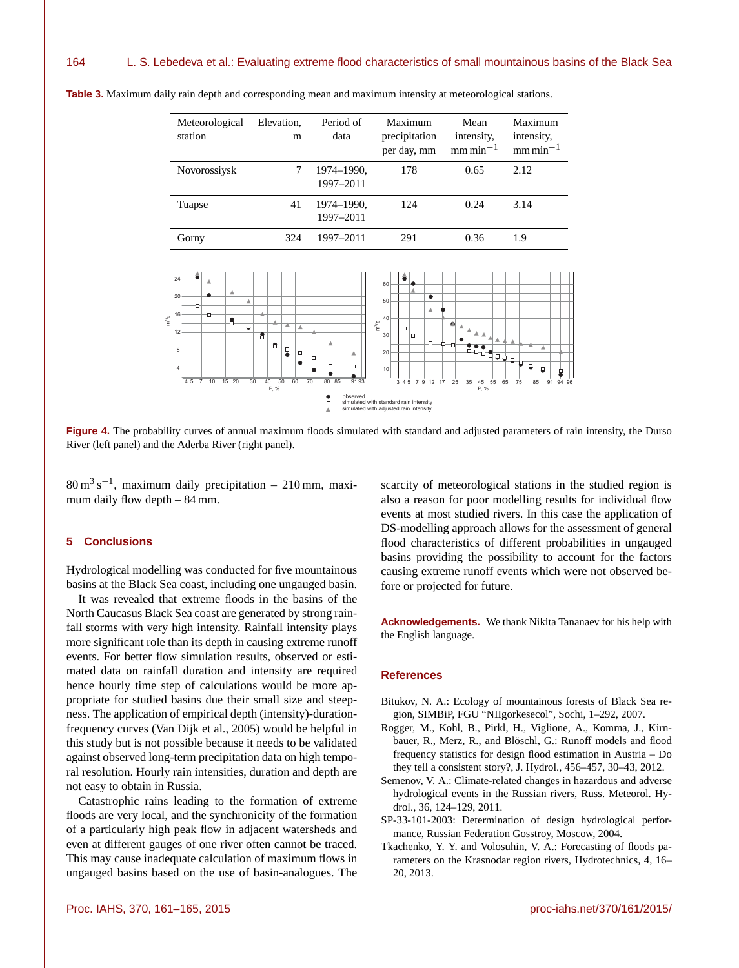

**Table 3.** Maximum daily rain depth and corresponding mean and maximum intensity at meteorological stations.

Figure 4. The probability curves of annual maximum floods simulated with standard and adjusted parameters of rain intensity, the Durso River (left panel) and the Aderba River (right panel).

 $80 \text{ m}^3 \text{ s}^{-1}$ , maximum daily precipitation – 210 mm, maximum daily flow depth – 84 mm.

## **5 Conclusions**

Hydrological modelling was conducted for five mountainous basins at the Black Sea coast, including one ungauged basin.

It was revealed that extreme floods in the basins of the North Caucasus Black Sea coast are generated by strong rainfall storms with very high intensity. Rainfall intensity plays more significant role than its depth in causing extreme runoff events. For better flow simulation results, observed or estimated data on rainfall duration and intensity are required hence hourly time step of calculations would be more appropriate for studied basins due their small size and steepness. The application of empirical depth (intensity)-durationfrequency curves (Van Dijk et al., 2005) would be helpful in this study but is not possible because it needs to be validated against observed long-term precipitation data on high temporal resolution. Hourly rain intensities, duration and depth are not easy to obtain in Russia.

Catastrophic rains leading to the formation of extreme floods are very local, and the synchronicity of the formation of a particularly high peak flow in adjacent watersheds and even at different gauges of one river often cannot be traced. This may cause inadequate calculation of maximum flows in ungauged basins based on the use of basin-analogues. The scarcity of meteorological stations in the studied region is also a reason for poor modelling results for individual flow events at most studied rivers. In this case the application of DS-modelling approach allows for the assessment of general flood characteristics of different probabilities in ungauged basins providing the possibility to account for the factors causing extreme runoff events which were not observed before or projected for future.

**Acknowledgements.** We thank Nikita Tananaev for his help with the English language.

# **References**

- Bitukov, N. A.: Ecology of mountainous forests of Black Sea region, SIMBiP, FGU "NIIgorkesecol", Sochi, 1–292, 2007.
- Rogger, M., Kohl, B., Pirkl, H., Viglione, A., Komma, J., Kirnbauer, R., Merz, R., and Blöschl, G.: Runoff models and flood frequency statistics for design flood estimation in Austria – Do they tell a consistent story?, J. Hydrol., 456–457, 30–43, 2012.
- Semenov, V. A.: Climate-related changes in hazardous and adverse hydrological events in the Russian rivers, Russ. Meteorol. Hydrol., 36, 124–129, 2011.
- SP-33-101-2003: Determination of design hydrological performance, Russian Federation Gosstroy, Moscow, 2004.
- Tkachenko, Y. Y. and Volosuhin, V. A.: Forecasting of floods parameters on the Krasnodar region rivers, Hydrotechnics, 4, 16– 20, 2013.